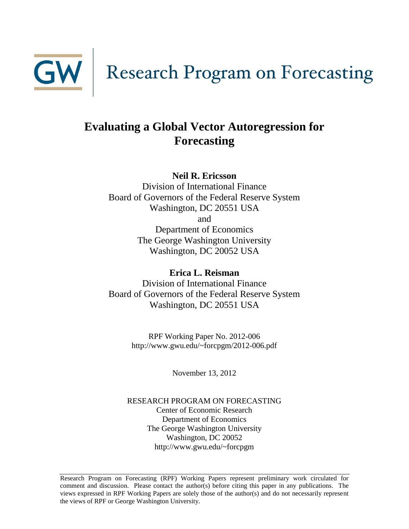

# **Evaluating a Global Vector Autoregression for Forecasting**

**Neil R. Ericsson**

Division of International Finance Board of Governors of the Federal Reserve System Washington, DC 20551 USA and Department of Economics The George Washington University Washington, DC 20052 USA

**Erica L. Reisman** Division of International Finance Board of Governors of the Federal Reserve System Washington, DC 20551 USA

> RPF Working Paper No. 2012-006 http://www.gwu.edu/~forcpgm/2012-006.pdf

> > November 13, 2012

RESEARCH PROGRAM ON FORECASTING Center of Economic Research Department of Economics The George Washington University Washington, DC 20052 http://www.gwu.edu/~forcpgm

Research Program on Forecasting (RPF) Working Papers represent preliminary work circulated for comment and discussion. Please contact the author(s) before citing this paper in any publications. The views expressed in RPF Working Papers are solely those of the author(s) and do not necessarily represent the views of RPF or George Washington University.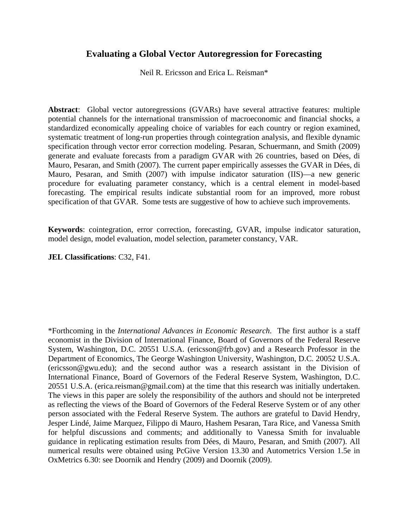## **Evaluating a Global Vector Autoregression for Forecasting**

Neil R. Ericsson and Erica L. Reisman\*

**Abstract**: Global vector autoregressions (GVARs) have several attractive features: multiple potential channels for the international transmission of macroeconomic and financial shocks, a standardized economically appealing choice of variables for each country or region examined, systematic treatment of long-run properties through cointegration analysis, and flexible dynamic specification through vector error correction modeling. Pesaran, Schuermann, and Smith (2009) generate and evaluate forecasts from a paradigm GVAR with 26 countries, based on Dées, di Mauro, Pesaran, and Smith (2007). The current paper empirically assesses the GVAR in Dées, di Mauro, Pesaran, and Smith (2007) with impulse indicator saturation (IIS)—a new generic procedure for evaluating parameter constancy, which is a central element in model-based forecasting. The empirical results indicate substantial room for an improved, more robust specification of that GVAR. Some tests are suggestive of how to achieve such improvements.

**Keywords**: cointegration, error correction, forecasting, GVAR, impulse indicator saturation, model design, model evaluation, model selection, parameter constancy, VAR.

## **JEL Classifications**: C32, F41.

\*Forthcoming in the *International Advances in Economic Research*. The first author is a staff economist in the Division of International Finance, Board of Governors of the Federal Reserve System, Washington, D.C. 20551 U.S.A. (ericsson@frb.gov) and a Research Professor in the Department of Economics, The George Washington University, Washington, D.C. 20052 U.S.A. (ericsson@gwu.edu); and the second author was a research assistant in the Division of International Finance, Board of Governors of the Federal Reserve System, Washington, D.C. 20551 U.S.A. (erica.reisman@gmail.com) at the time that this research was initially undertaken. The views in this paper are solely the responsibility of the authors and should not be interpreted as reflecting the views of the Board of Governors of the Federal Reserve System or of any other person associated with the Federal Reserve System. The authors are grateful to David Hendry, Jesper Lindé, Jaime Marquez, Filippo di Mauro, Hashem Pesaran, Tara Rice, and Vanessa Smith for helpful discussions and comments; and additionally to Vanessa Smith for invaluable guidance in replicating estimation results from Dées, di Mauro, Pesaran, and Smith (2007). All numerical results were obtained using PcGive Version 13.30 and Autometrics Version 1.5e in OxMetrics 6.30: see Doornik and Hendry (2009) and Doornik (2009).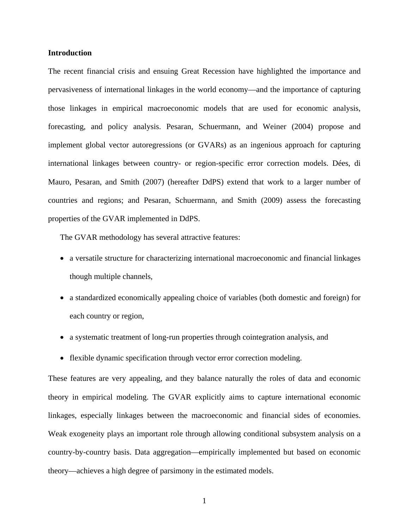### **Introduction**

The recent financial crisis and ensuing Great Recession have highlighted the importance and pervasiveness of international linkages in the world economy—and the importance of capturing those linkages in empirical macroeconomic models that are used for economic analysis, forecasting, and policy analysis. Pesaran, Schuermann, and Weiner (2004) propose and implement global vector autoregressions (or GVARs) as an ingenious approach for capturing international linkages between country- or region-specific error correction models. Dées, di Mauro, Pesaran, and Smith (2007) (hereafter DdPS) extend that work to a larger number of countries and regions; and Pesaran, Schuermann, and Smith (2009) assess the forecasting properties of the GVAR implemented in DdPS.

The GVAR methodology has several attractive features:

- a versatile structure for characterizing international macroeconomic and financial linkages though multiple channels,
- a standardized economically appealing choice of variables (both domestic and foreign) for each country or region,
- a systematic treatment of long-run properties through cointegration analysis, and
- flexible dynamic specification through vector error correction modeling.

These features are very appealing, and they balance naturally the roles of data and economic theory in empirical modeling. The GVAR explicitly aims to capture international economic linkages, especially linkages between the macroeconomic and financial sides of economies. Weak exogeneity plays an important role through allowing conditional subsystem analysis on a country-by-country basis. Data aggregation—empirically implemented but based on economic theory—achieves a high degree of parsimony in the estimated models.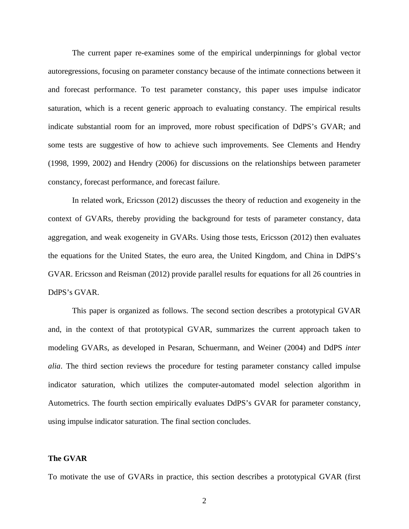The current paper re-examines some of the empirical underpinnings for global vector autoregressions, focusing on parameter constancy because of the intimate connections between it and forecast performance. To test parameter constancy, this paper uses impulse indicator saturation, which is a recent generic approach to evaluating constancy. The empirical results indicate substantial room for an improved, more robust specification of DdPS's GVAR; and some tests are suggestive of how to achieve such improvements. See Clements and Hendry (1998, 1999, 2002) and Hendry (2006) for discussions on the relationships between parameter constancy, forecast performance, and forecast failure.

In related work, Ericsson (2012) discusses the theory of reduction and exogeneity in the context of GVARs, thereby providing the background for tests of parameter constancy, data aggregation, and weak exogeneity in GVARs. Using those tests, Ericsson (2012) then evaluates the equations for the United States, the euro area, the United Kingdom, and China in DdPS's GVAR. Ericsson and Reisman (2012) provide parallel results for equations for all 26 countries in DdPS's GVAR.

This paper is organized as follows. The second section describes a prototypical GVAR and, in the context of that prototypical GVAR, summarizes the current approach taken to modeling GVARs, as developed in Pesaran, Schuermann, and Weiner (2004) and DdPS *inter alia*. The third section reviews the procedure for testing parameter constancy called impulse indicator saturation, which utilizes the computer-automated model selection algorithm in Autometrics. The fourth section empirically evaluates DdPS's GVAR for parameter constancy, using impulse indicator saturation. The final section concludes.

#### **The GVAR**

To motivate the use of GVARs in practice, this section describes a prototypical GVAR (first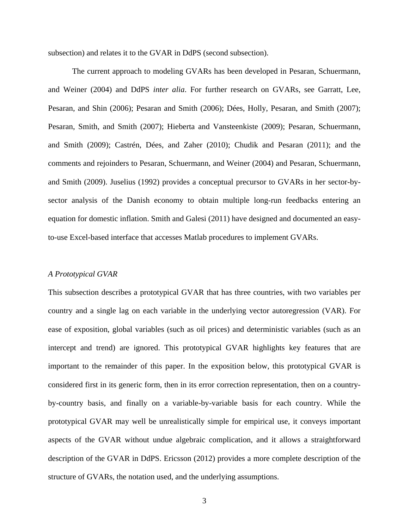subsection) and relates it to the GVAR in DdPS (second subsection).

The current approach to modeling GVARs has been developed in Pesaran, Schuermann, and Weiner (2004) and DdPS *inter alia*. For further research on GVARs, see Garratt, Lee, Pesaran, and Shin (2006); Pesaran and Smith (2006); Dées, Holly, Pesaran, and Smith (2007); Pesaran, Smith, and Smith (2007); Hieberta and Vansteenkiste (2009); Pesaran, Schuermann, and Smith (2009); Castrén, Dées, and Zaher (2010); Chudik and Pesaran (2011); and the comments and rejoinders to Pesaran, Schuermann, and Weiner (2004) and Pesaran, Schuermann, and Smith (2009). Juselius (1992) provides a conceptual precursor to GVARs in her sector-bysector analysis of the Danish economy to obtain multiple long-run feedbacks entering an equation for domestic inflation. Smith and Galesi (2011) have designed and documented an easyto-use Excel-based interface that accesses Matlab procedures to implement GVARs.

#### *A Prototypical GVAR*

This subsection describes a prototypical GVAR that has three countries, with two variables per country and a single lag on each variable in the underlying vector autoregression (VAR). For ease of exposition, global variables (such as oil prices) and deterministic variables (such as an intercept and trend) are ignored. This prototypical GVAR highlights key features that are important to the remainder of this paper. In the exposition below, this prototypical GVAR is considered first in its generic form, then in its error correction representation, then on a countryby-country basis, and finally on a variable-by-variable basis for each country. While the prototypical GVAR may well be unrealistically simple for empirical use, it conveys important aspects of the GVAR without undue algebraic complication, and it allows a straightforward description of the GVAR in DdPS. Ericsson (2012) provides a more complete description of the structure of GVARs, the notation used, and the underlying assumptions.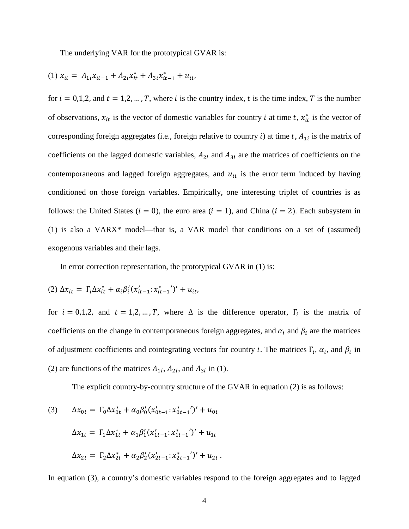The underlying VAR for the prototypical GVAR is:

(1) 
$$
x_{it} = A_{1i}x_{it-1} + A_{2i}x_{it}^* + A_{3i}x_{it-1}^* + u_{it},
$$

for  $i = 0,1,2$ , and  $t = 1,2,...,T$ , where i is the country index, t is the time index, T is the number of observations,  $x_{it}$  is the vector of domestic variables for country *i* at time *t*,  $x_{it}^*$  is the vector of corresponding foreign aggregates (i.e., foreign relative to country i) at time t,  $A_{1i}$  is the matrix of coefficients on the lagged domestic variables,  $A_{2i}$  and  $A_{3i}$  are the matrices of coefficients on the contemporaneous and lagged foreign aggregates, and  $u_{it}$  is the error term induced by having conditioned on those foreign variables. Empirically, one interesting triplet of countries is as follows: the United States ( $i = 0$ ), the euro area ( $i = 1$ ), and China ( $i = 2$ ). Each subsystem in (1) is also a VARX\* model—that is, a VAR model that conditions on a set of (assumed) exogenous variables and their lags.

In error correction representation, the prototypical GVAR in (1) is:

(2) 
$$
\Delta x_{it} = \Gamma_i \Delta x_{it}^* + \alpha_i \beta_i' (x_{it-1}'; x_{it-1}^*)' + u_{it},
$$

for  $i = 0,1,2$ , and  $t = 1,2,...,T$ , where  $\Delta$  is the difference operator,  $\Gamma_i$  is the matrix of coefficients on the change in contemporaneous foreign aggregates, and  $\alpha_i$  and  $\beta_i$  are the matrices of adjustment coefficients and cointegrating vectors for country *i*. The matrices  $\Gamma_i$ ,  $\alpha_i$ , and  $\beta_i$  in (2) are functions of the matrices  $A_{1i}$ ,  $A_{2i}$ , and  $A_{3i}$  in (1).

The explicit country-by-country structure of the GVAR in equation (2) is as follows:

(3) 
$$
\Delta x_{0t} = \Gamma_0 \Delta x_{0t}^* + \alpha_0 \beta_0' (x_{0t-1}' \cdot x_{0t-1}^*)' + u_{0t}
$$

$$
\Delta x_{1t} = \Gamma_1 \Delta x_{1t}^* + \alpha_1 \beta_1' (x_{1t-1}' \cdot x_{1t-1}^*)' + u_{1t}
$$

$$
\Delta x_{2t} = \Gamma_2 \Delta x_{2t}^* + \alpha_2 \beta_2' (x_{2t-1}' \cdot x_{2t-1}^*)' + u_{2t}.
$$

In equation (3), a country's domestic variables respond to the foreign aggregates and to lagged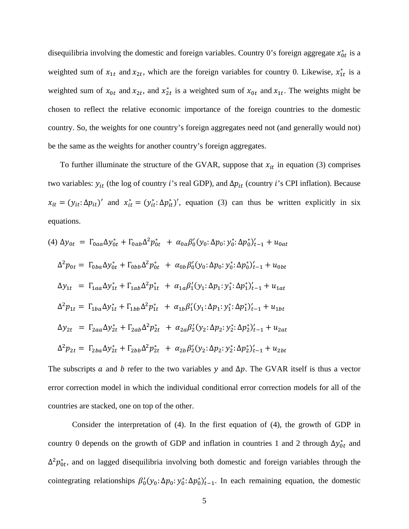disequilibria involving the domestic and foreign variables. Country 0's foreign aggregate  $x_{0t}^*$  is a weighted sum of  $x_{1t}$  and  $x_{2t}$ , which are the foreign variables for country 0. Likewise,  $x_{1t}^*$  is a weighted sum of  $x_{0t}$  and  $x_{2t}$ , and  $x_{2t}^*$  is a weighted sum of  $x_{0t}$  and  $x_{1t}$ . The weights might be chosen to reflect the relative economic importance of the foreign countries to the domestic country. So, the weights for one country's foreign aggregates need not (and generally would not) be the same as the weights for another country's foreign aggregates.

To further illuminate the structure of the GVAR, suppose that  $x_{it}$  in equation (3) comprises two variables:  $y_{it}$  (the log of country *i*'s real GDP), and  $\Delta p_{it}$  (country *i*'s CPI inflation). Because  $x_{it} = (y_{it} : \Delta p_{it})'$  and  $x_{it}^* = (y_{it}^* : \Delta p_{it}^*)'$ , equation (3) can thus be written explicitly in six equations.

(4) 
$$
\Delta y_{0t} = \Gamma_{0aa} \Delta y_{0t}^* + \Gamma_{0ab} \Delta^2 p_{0t}^* + \alpha_{0a} \beta_0' (y_0: \Delta p_0: y_0^* : \Delta p_0^*)'_{t-1} + u_{0at}
$$
  
\n
$$
\Delta^2 p_{0t} = \Gamma_{0ba} \Delta y_{0t}^* + \Gamma_{0bb} \Delta^2 p_{0t}^* + \alpha_{0b} \beta_0' (y_0: \Delta p_0: y_0^* : \Delta p_0^*)'_{t-1} + u_{0bt}
$$
\n
$$
\Delta y_{1t} = \Gamma_{1aa} \Delta y_{1t}^* + \Gamma_{1ab} \Delta^2 p_{1t}^* + \alpha_{1a} \beta_1' (y_1: \Delta p_1: y_1^* : \Delta p_1^*)'_{t-1} + u_{1at}
$$
\n
$$
\Delta^2 p_{1t} = \Gamma_{1ba} \Delta y_{1t}^* + \Gamma_{1bb} \Delta^2 p_{1t}^* + \alpha_{1b} \beta_1' (y_1: \Delta p_1: y_1^* : \Delta p_1^*)'_{t-1} + u_{1bt}
$$
\n
$$
\Delta y_{2t} = \Gamma_{2aa} \Delta y_{2t}^* + \Gamma_{2ab} \Delta^2 p_{2t}^* + \alpha_{2a} \beta_2' (y_2: \Delta p_2: y_2^* : \Delta p_2^*)'_{t-1} + u_{2at}
$$
\n
$$
\Delta^2 p_{2t} = \Gamma_{2ba} \Delta y_{2t}^* + \Gamma_{2bb} \Delta^2 p_{2t}^* + \alpha_{2b} \beta_2' (y_2: \Delta p_2: y_2^* : \Delta p_2^*)'_{t-1} + u_{2bt}
$$

The subscripts  $\alpha$  and  $\beta$  refer to the two variables  $\gamma$  and  $\Delta p$ . The GVAR itself is thus a vector error correction model in which the individual conditional error correction models for all of the countries are stacked, one on top of the other.

Consider the interpretation of (4). In the first equation of (4), the growth of GDP in country 0 depends on the growth of GDP and inflation in countries 1 and 2 through  $\Delta y_{0t}^*$  and  $\Delta^2 p_{0t}^*$ , and on lagged disequilibria involving both domestic and foreign variables through the cointegrating relationships  $\beta'_0(y_0; \Delta p_0; y_0^*, \Delta p_0^*)'_{t-1}$ . In each remaining equation, the domestic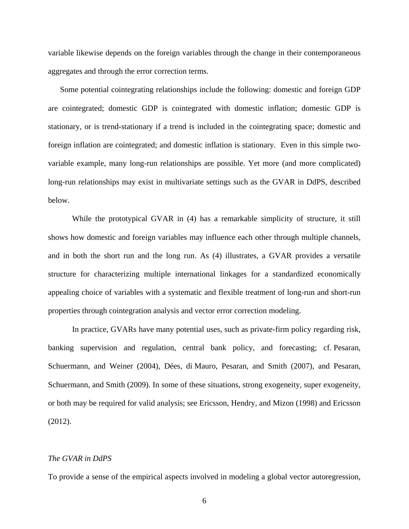variable likewise depends on the foreign variables through the change in their contemporaneous aggregates and through the error correction terms.

Some potential cointegrating relationships include the following: domestic and foreign GDP are cointegrated; domestic GDP is cointegrated with domestic inflation; domestic GDP is stationary, or is trend-stationary if a trend is included in the cointegrating space; domestic and foreign inflation are cointegrated; and domestic inflation is stationary. Even in this simple twovariable example, many long-run relationships are possible. Yet more (and more complicated) long-run relationships may exist in multivariate settings such as the GVAR in DdPS, described below.

While the prototypical GVAR in (4) has a remarkable simplicity of structure, it still shows how domestic and foreign variables may influence each other through multiple channels, and in both the short run and the long run. As (4) illustrates, a GVAR provides a versatile structure for characterizing multiple international linkages for a standardized economically appealing choice of variables with a systematic and flexible treatment of long-run and short-run properties through cointegration analysis and vector error correction modeling.

In practice, GVARs have many potential uses, such as private-firm policy regarding risk, banking supervision and regulation, central bank policy, and forecasting; cf. Pesaran, Schuermann, and Weiner (2004), Dées, di Mauro, Pesaran, and Smith (2007), and Pesaran, Schuermann, and Smith (2009). In some of these situations, strong exogeneity, super exogeneity, or both may be required for valid analysis; see Ericsson, Hendry, and Mizon (1998) and Ericsson (2012).

#### *The GVAR in DdPS*

To provide a sense of the empirical aspects involved in modeling a global vector autoregression,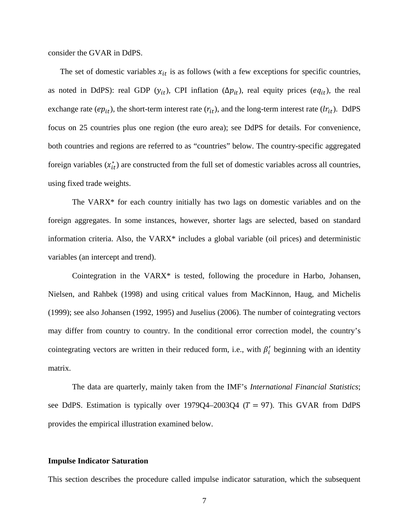consider the GVAR in DdPS.

The set of domestic variables  $x_{it}$  is as follows (with a few exceptions for specific countries, as noted in DdPS): real GDP ( $y_{it}$ ), CPI inflation ( $\Delta p_{it}$ ), real equity prices ( $eq_{it}$ ), the real exchange rate ( $ep_{it}$ ), the short-term interest rate ( $r_{it}$ ), and the long-term interest rate ( $lr_{it}$ ). DdPS focus on 25 countries plus one region (the euro area); see DdPS for details. For convenience, both countries and regions are referred to as "countries" below. The country-specific aggregated foreign variables  $(x_{it}^*)$  are constructed from the full set of domestic variables across all countries, using fixed trade weights.

The VARX\* for each country initially has two lags on domestic variables and on the foreign aggregates. In some instances, however, shorter lags are selected, based on standard information criteria. Also, the VARX\* includes a global variable (oil prices) and deterministic variables (an intercept and trend).

Cointegration in the VARX\* is tested, following the procedure in Harbo, Johansen, Nielsen, and Rahbek (1998) and using critical values from MacKinnon, Haug, and Michelis (1999); see also Johansen (1992, 1995) and Juselius (2006). The number of cointegrating vectors may differ from country to country. In the conditional error correction model, the country's cointegrating vectors are written in their reduced form, i.e., with  $\beta'_i$  beginning with an identity matrix.

The data are quarterly, mainly taken from the IMF's *International Financial Statistics*; see DdPS. Estimation is typically over 1979Q4–2003Q4 ( $T = 97$ ). This GVAR from DdPS provides the empirical illustration examined below.

#### **Impulse Indicator Saturation**

This section describes the procedure called impulse indicator saturation, which the subsequent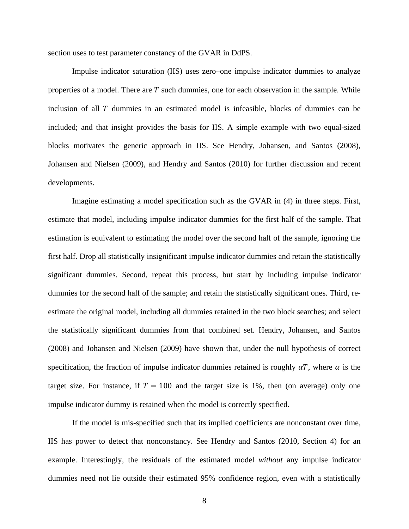section uses to test parameter constancy of the GVAR in DdPS.

Impulse indicator saturation (IIS) uses zero–one impulse indicator dummies to analyze properties of a model. There are  $T$  such dummies, one for each observation in the sample. While inclusion of all  *dummies in an estimated model is infeasible, blocks of dummies can be* included; and that insight provides the basis for IIS. A simple example with two equal-sized blocks motivates the generic approach in IIS. See Hendry, Johansen, and Santos (2008), Johansen and Nielsen (2009), and Hendry and Santos (2010) for further discussion and recent developments.

Imagine estimating a model specification such as the GVAR in (4) in three steps. First, estimate that model, including impulse indicator dummies for the first half of the sample. That estimation is equivalent to estimating the model over the second half of the sample, ignoring the first half. Drop all statistically insignificant impulse indicator dummies and retain the statistically significant dummies. Second, repeat this process, but start by including impulse indicator dummies for the second half of the sample; and retain the statistically significant ones. Third, reestimate the original model, including all dummies retained in the two block searches; and select the statistically significant dummies from that combined set. Hendry, Johansen, and Santos (2008) and Johansen and Nielsen (2009) have shown that, under the null hypothesis of correct specification, the fraction of impulse indicator dummies retained is roughly  $\alpha T$ , where  $\alpha$  is the target size. For instance, if  $T = 100$  and the target size is 1%, then (on average) only one impulse indicator dummy is retained when the model is correctly specified.

If the model is mis-specified such that its implied coefficients are nonconstant over time, IIS has power to detect that nonconstancy. See Hendry and Santos (2010, Section 4) for an example. Interestingly, the residuals of the estimated model *without* any impulse indicator dummies need not lie outside their estimated 95% confidence region, even with a statistically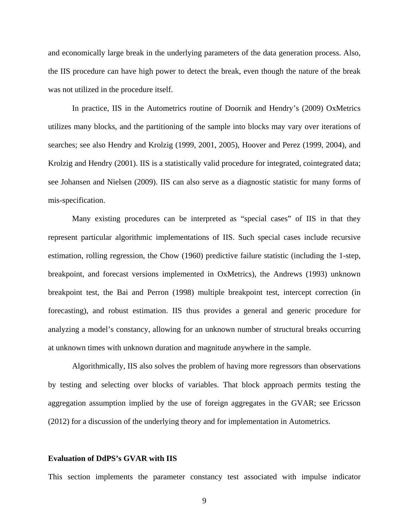and economically large break in the underlying parameters of the data generation process. Also, the IIS procedure can have high power to detect the break, even though the nature of the break was not utilized in the procedure itself.

In practice, IIS in the Autometrics routine of Doornik and Hendry's (2009) OxMetrics utilizes many blocks, and the partitioning of the sample into blocks may vary over iterations of searches; see also Hendry and Krolzig (1999, 2001, 2005), Hoover and Perez (1999, 2004), and Krolzig and Hendry (2001). IIS is a statistically valid procedure for integrated, cointegrated data; see Johansen and Nielsen (2009). IIS can also serve as a diagnostic statistic for many forms of mis-specification.

Many existing procedures can be interpreted as "special cases" of IIS in that they represent particular algorithmic implementations of IIS. Such special cases include recursive estimation, rolling regression, the Chow (1960) predictive failure statistic (including the 1-step, breakpoint, and forecast versions implemented in OxMetrics), the Andrews (1993) unknown breakpoint test, the Bai and Perron (1998) multiple breakpoint test, intercept correction (in forecasting), and robust estimation. IIS thus provides a general and generic procedure for analyzing a model's constancy, allowing for an unknown number of structural breaks occurring at unknown times with unknown duration and magnitude anywhere in the sample.

Algorithmically, IIS also solves the problem of having more regressors than observations by testing and selecting over blocks of variables. That block approach permits testing the aggregation assumption implied by the use of foreign aggregates in the GVAR; see Ericsson (2012) for a discussion of the underlying theory and for implementation in Autometrics.

#### **Evaluation of DdPS's GVAR with IIS**

This section implements the parameter constancy test associated with impulse indicator

9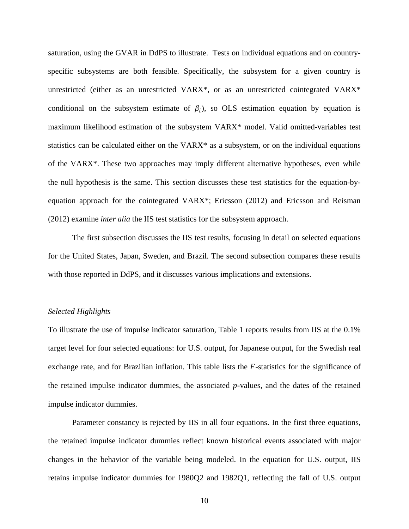saturation, using the GVAR in DdPS to illustrate. Tests on individual equations and on countryspecific subsystems are both feasible. Specifically, the subsystem for a given country is unrestricted (either as an unrestricted VARX\*, or as an unrestricted cointegrated VARX\* conditional on the subsystem estimate of  $\beta_i$ , so OLS estimation equation by equation is maximum likelihood estimation of the subsystem VARX\* model. Valid omitted-variables test statistics can be calculated either on the VARX\* as a subsystem, or on the individual equations of the VARX\*. These two approaches may imply different alternative hypotheses, even while the null hypothesis is the same. This section discusses these test statistics for the equation-byequation approach for the cointegrated VARX\*; Ericsson (2012) and Ericsson and Reisman (2012) examine *inter alia* the IIS test statistics for the subsystem approach.

The first subsection discusses the IIS test results, focusing in detail on selected equations for the United States, Japan, Sweden, and Brazil. The second subsection compares these results with those reported in DdPS, and it discusses various implications and extensions.

#### *Selected Highlights*

To illustrate the use of impulse indicator saturation, Table 1 reports results from IIS at the 0.1% target level for four selected equations: for U.S. output, for Japanese output, for the Swedish real exchange rate, and for Brazilian inflation. This table lists the  $F$ -statistics for the significance of the retained impulse indicator dummies, the associated  $p$ -values, and the dates of the retained impulse indicator dummies.

Parameter constancy is rejected by IIS in all four equations. In the first three equations, the retained impulse indicator dummies reflect known historical events associated with major changes in the behavior of the variable being modeled. In the equation for U.S. output, IIS retains impulse indicator dummies for 1980Q2 and 1982Q1, reflecting the fall of U.S. output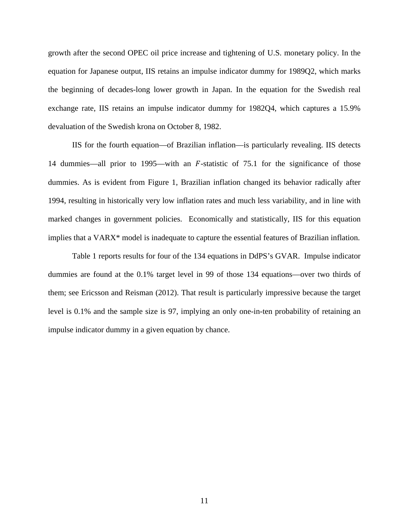growth after the second OPEC oil price increase and tightening of U.S. monetary policy. In the equation for Japanese output, IIS retains an impulse indicator dummy for 1989Q2, which marks the beginning of decades-long lower growth in Japan. In the equation for the Swedish real exchange rate, IIS retains an impulse indicator dummy for 1982Q4, which captures a 15.9% devaluation of the Swedish krona on October 8, 1982.

IIS for the fourth equation—of Brazilian inflation—is particularly revealing. IIS detects 14 dummies—all prior to 1995—with an  $F$ -statistic of 75.1 for the significance of those dummies. As is evident from Figure 1, Brazilian inflation changed its behavior radically after 1994, resulting in historically very low inflation rates and much less variability, and in line with marked changes in government policies. Economically and statistically, IIS for this equation implies that a VARX\* model is inadequate to capture the essential features of Brazilian inflation.

Table 1 reports results for four of the 134 equations in DdPS's GVAR. Impulse indicator dummies are found at the 0.1% target level in 99 of those 134 equations—over two thirds of them; see Ericsson and Reisman (2012). That result is particularly impressive because the target level is 0.1% and the sample size is 97, implying an only one-in-ten probability of retaining an impulse indicator dummy in a given equation by chance.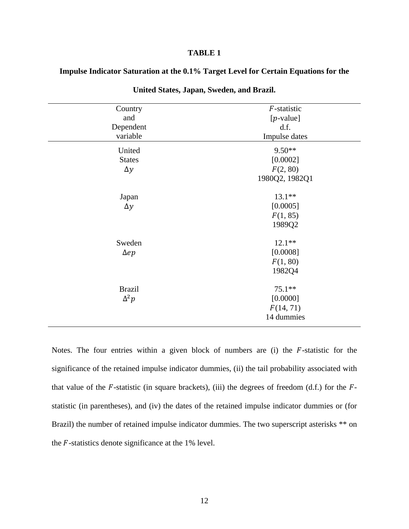## **TABLE 1**

## **Impulse Indicator Saturation at the 0.1% Target Level for Certain Equations for the**

| Country<br>and<br>Dependent<br>variable | F-statistic<br>$[p$ -value]<br>df.<br>Impulse dates |
|-----------------------------------------|-----------------------------------------------------|
| United<br><b>States</b><br>$\Delta y$   | $9.50**$<br>[0.0002]<br>F(2, 80)<br>1980Q2, 1982Q1  |
| Japan<br>$\Delta y$                     | $13.1**$<br>[0.0005]<br>F(1, 85)<br>1989Q2          |
| Sweden<br>$\Delta ep$                   | $12.1**$<br>[0.0008]<br>F(1, 80)<br>1982Q4          |
| <b>Brazil</b><br>$\Delta^2 p$           | $75.1**$<br>[0.0000]<br>F(14, 71)<br>14 dummies     |

**United States, Japan, Sweden, and Brazil.** 

Notes. The four entries within a given block of numbers are  $(i)$  the  $F$ -statistic for the significance of the retained impulse indicator dummies, (ii) the tail probability associated with that value of the  $F$ -statistic (in square brackets), (iii) the degrees of freedom (d.f.) for the  $F$ statistic (in parentheses), and (iv) the dates of the retained impulse indicator dummies or (for Brazil) the number of retained impulse indicator dummies. The two superscript asterisks \*\* on the  $F$ -statistics denote significance at the 1% level.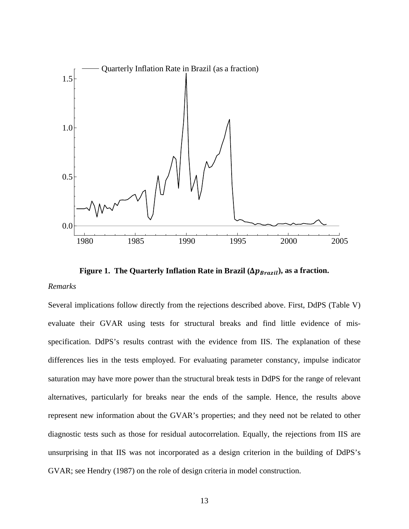

**Figure 1. The Quarterly Inflation Rate in Brazil (** $\Delta p_{\text{Brazil}}$ **), as a fraction.** 

## *Remarks*

Several implications follow directly from the rejections described above. First, DdPS (Table V) evaluate their GVAR using tests for structural breaks and find little evidence of misspecification. DdPS's results contrast with the evidence from IIS. The explanation of these differences lies in the tests employed. For evaluating parameter constancy, impulse indicator saturation may have more power than the structural break tests in DdPS for the range of relevant alternatives, particularly for breaks near the ends of the sample. Hence, the results above represent new information about the GVAR's properties; and they need not be related to other diagnostic tests such as those for residual autocorrelation. Equally, the rejections from IIS are unsurprising in that IIS was not incorporated as a design criterion in the building of DdPS's GVAR; see Hendry (1987) on the role of design criteria in model construction.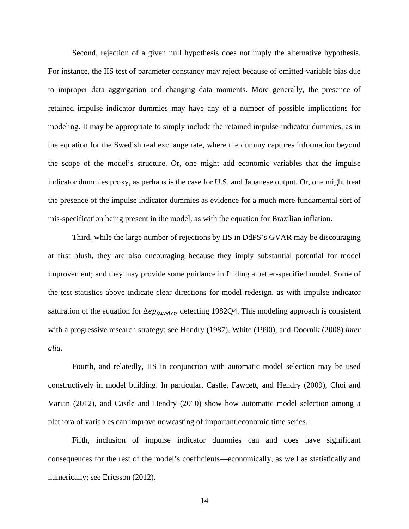Second, rejection of a given null hypothesis does not imply the alternative hypothesis. For instance, the IIS test of parameter constancy may reject because of omitted-variable bias due to improper data aggregation and changing data moments. More generally, the presence of retained impulse indicator dummies may have any of a number of possible implications for modeling. It may be appropriate to simply include the retained impulse indicator dummies, as in the equation for the Swedish real exchange rate, where the dummy captures information beyond the scope of the model's structure. Or, one might add economic variables that the impulse indicator dummies proxy, as perhaps is the case for U.S. and Japanese output. Or, one might treat the presence of the impulse indicator dummies as evidence for a much more fundamental sort of mis-specification being present in the model, as with the equation for Brazilian inflation.

Third, while the large number of rejections by IIS in DdPS's GVAR may be discouraging at first blush, they are also encouraging because they imply substantial potential for model improvement; and they may provide some guidance in finding a better-specified model. Some of the test statistics above indicate clear directions for model redesign, as with impulse indicator saturation of the equation for  $\Delta ep_{Sweden}$  detecting 1982Q4. This modeling approach is consistent with a progressive research strategy; see Hendry (1987), White (1990), and Doornik (2008) *inter alia*.

Fourth, and relatedly, IIS in conjunction with automatic model selection may be used constructively in model building. In particular, Castle, Fawcett, and Hendry (2009), Choi and Varian (2012), and Castle and Hendry (2010) show how automatic model selection among a plethora of variables can improve nowcasting of important economic time series.

Fifth, inclusion of impulse indicator dummies can and does have significant consequences for the rest of the model's coefficients—economically, as well as statistically and numerically; see Ericsson (2012).

14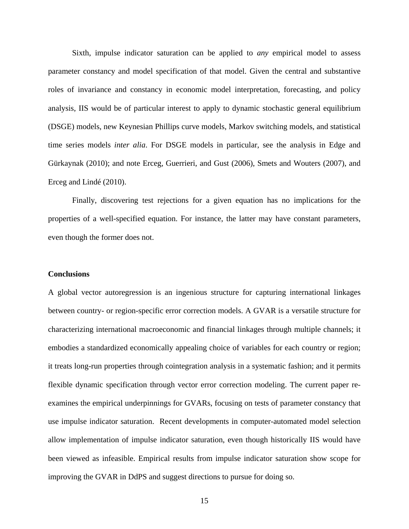Sixth, impulse indicator saturation can be applied to *any* empirical model to assess parameter constancy and model specification of that model. Given the central and substantive roles of invariance and constancy in economic model interpretation, forecasting, and policy analysis, IIS would be of particular interest to apply to dynamic stochastic general equilibrium (DSGE) models, new Keynesian Phillips curve models, Markov switching models, and statistical time series models *inter alia*. For DSGE models in particular, see the analysis in Edge and Gürkaynak (2010); and note Erceg, Guerrieri, and Gust (2006), Smets and Wouters (2007), and Erceg and Lindé (2010).

Finally, discovering test rejections for a given equation has no implications for the properties of a well-specified equation. For instance, the latter may have constant parameters, even though the former does not.

#### **Conclusions**

A global vector autoregression is an ingenious structure for capturing international linkages between country- or region-specific error correction models. A GVAR is a versatile structure for characterizing international macroeconomic and financial linkages through multiple channels; it embodies a standardized economically appealing choice of variables for each country or region; it treats long-run properties through cointegration analysis in a systematic fashion; and it permits flexible dynamic specification through vector error correction modeling. The current paper reexamines the empirical underpinnings for GVARs, focusing on tests of parameter constancy that use impulse indicator saturation. Recent developments in computer-automated model selection allow implementation of impulse indicator saturation, even though historically IIS would have been viewed as infeasible. Empirical results from impulse indicator saturation show scope for improving the GVAR in DdPS and suggest directions to pursue for doing so.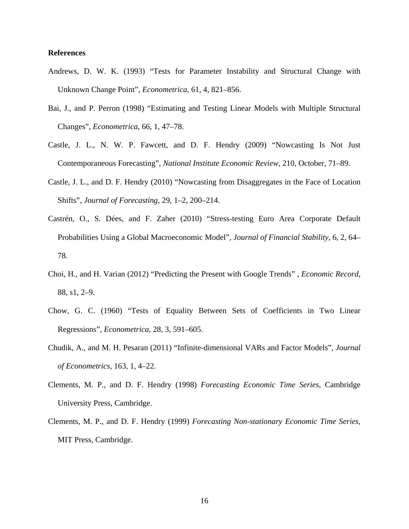## **References**

- Andrews, D. W. K. (1993) "Tests for Parameter Instability and Structural Change with Unknown Change Point", *Econometrica*, 61, 4, 821–856.
- Bai, J., and P. Perron (1998) "Estimating and Testing Linear Models with Multiple Structural Changes", *Econometrica*, 66, 1, 47–78.
- Castle, J. L., N. W. P. Fawcett, and D. F. Hendry (2009) "Nowcasting Is Not Just Contemporaneous Forecasting", *National Institute Economic Review*, 210, October, 71–89.
- Castle, J. L., and D. F. Hendry (2010) "Nowcasting from Disaggregates in the Face of Location Shifts", *Journal of Forecasting*, 29, 1–2, 200–214.
- Castrén, O., S. Dées, and F. Zaher (2010) "Stress-testing Euro Area Corporate Default Probabilities Using a Global Macroeconomic Model", *Journal of Financial Stability*, 6, 2, 64– 78.
- Choi, H., and H. Varian (2012) "Predicting the Present with Google Trends" , *Economic Record*, 88, s1, 2–9.
- Chow, G. C. (1960) "Tests of Equality Between Sets of Coefficients in Two Linear Regressions", *Econometrica*, 28, 3, 591–605.
- Chudik, A., and M. H. Pesaran (2011) "Infinite-dimensional VARs and Factor Models", *Journal of Econometrics*, 163, 1, 4–22.
- Clements, M. P., and D. F. Hendry (1998) *Forecasting Economic Time Series*, Cambridge University Press, Cambridge.
- Clements, M. P., and D. F. Hendry (1999) *Forecasting Non-stationary Economic Time Series*, MIT Press, Cambridge.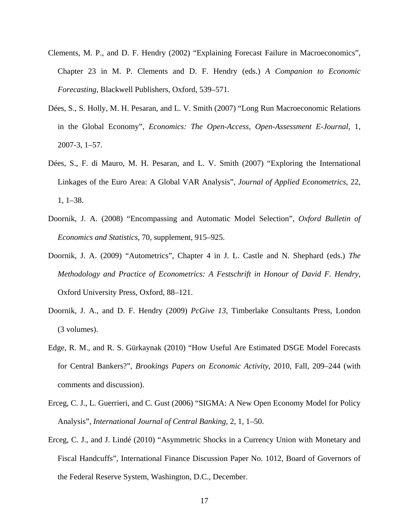- Clements, M. P., and D. F. Hendry (2002) "Explaining Forecast Failure in Macroeconomics", Chapter 23 in M. P. Clements and D. F. Hendry (eds.) *A Companion to Economic Forecasting*, Blackwell Publishers, Oxford, 539–571.
- Dées, S., S. Holly, M. H. Pesaran, and L. V. Smith (2007) "Long Run Macroeconomic Relations in the Global Economy", *Economics: The Open-Access, Open-Assessment E-Journal*, 1, 2007-3, 1–57.
- Dées, S., F. di Mauro, M. H. Pesaran, and L. V. Smith (2007) "Exploring the International Linkages of the Euro Area: A Global VAR Analysis", *Journal of Applied Econometrics*, 22, 1, 1–38.
- Doornik, J. A. (2008) "Encompassing and Automatic Model Selection", *Oxford Bulletin of Economics and Statistics*, 70, supplement, 915–925.
- Doornik, J. A. (2009) "Autometrics", Chapter 4 in J. L. Castle and N. Shephard (eds.) *The Methodology and Practice of Econometrics: A Festschrift in Honour of David F. Hendry*, Oxford University Press, Oxford, 88–121.
- Doornik, J. A., and D. F. Hendry (2009) *PcGive 13*, Timberlake Consultants Press, London (3 volumes).
- Edge, R. M., and R. S. Gürkaynak (2010) "How Useful Are Estimated DSGE Model Forecasts for Central Bankers?", *Brookings Papers on Economic Activity*, 2010, Fall, 209–244 (with comments and discussion).
- Erceg, C. J., L. Guerrieri, and C. Gust (2006) "SIGMA: A New Open Economy Model for Policy Analysis", *International Journal of Central Banking*, 2, 1, 1–50.
- Erceg, C. J., and J. Lindé (2010) "Asymmetric Shocks in a Currency Union with Monetary and Fiscal Handcuffs", International Finance Discussion Paper No. 1012, Board of Governors of the Federal Reserve System, Washington, D.C., December.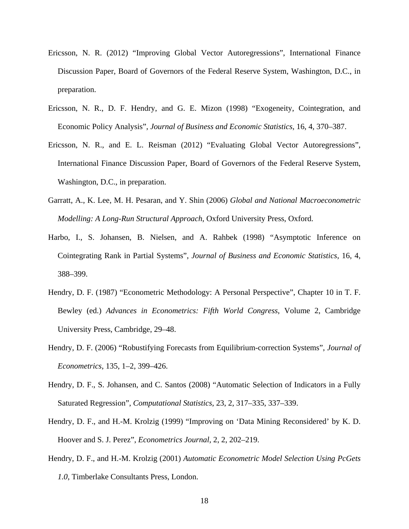- Ericsson, N. R. (2012) "Improving Global Vector Autoregressions", International Finance Discussion Paper, Board of Governors of the Federal Reserve System, Washington, D.C., in preparation.
- Ericsson, N. R., D. F. Hendry, and G. E. Mizon (1998) "Exogeneity, Cointegration, and Economic Policy Analysis", *Journal of Business and Economic Statistics*, 16, 4, 370–387.
- Ericsson, N. R., and E. L. Reisman (2012) "Evaluating Global Vector Autoregressions", International Finance Discussion Paper, Board of Governors of the Federal Reserve System, Washington, D.C., in preparation.
- Garratt, A., K. Lee, M. H. Pesaran, and Y. Shin (2006) *Global and National Macroeconometric Modelling: A Long-Run Structural Approach*, Oxford University Press, Oxford.
- Harbo, I., S. Johansen, B. Nielsen, and A. Rahbek (1998) "Asymptotic Inference on Cointegrating Rank in Partial Systems", *Journal of Business and Economic Statistics*, 16, 4, 388–399.
- Hendry, D. F. (1987) "Econometric Methodology: A Personal Perspective", Chapter 10 in T. F. Bewley (ed.) *Advances in Econometrics: Fifth World Congress*, Volume 2, Cambridge University Press, Cambridge, 29–48.
- Hendry, D. F. (2006) "Robustifying Forecasts from Equilibrium-correction Systems", *Journal of Econometrics*, 135, 1–2, 399–426.
- Hendry, D. F., S. Johansen, and C. Santos (2008) "Automatic Selection of Indicators in a Fully Saturated Regression", *Computational Statistics*, 23, 2, 317–335, 337–339.
- Hendry, D. F., and H.-M. Krolzig (1999) "Improving on 'Data Mining Reconsidered' by K. D. Hoover and S. J. Perez", *Econometrics Journal*, 2, 2, 202–219.
- Hendry, D. F., and H.-M. Krolzig (2001) *Automatic Econometric Model Selection Using PcGets 1.0*, Timberlake Consultants Press, London.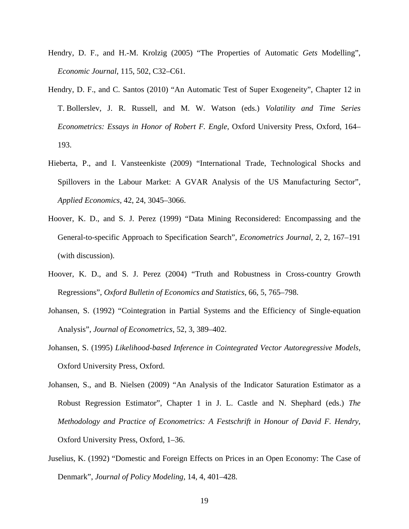- Hendry, D. F., and H.-M. Krolzig (2005) "The Properties of Automatic *Gets* Modelling", *Economic Journal*, 115, 502, C32–C61.
- Hendry, D. F., and C. Santos (2010) "An Automatic Test of Super Exogeneity", Chapter 12 in T. Bollerslev, J. R. Russell, and M. W. Watson (eds.) *Volatility and Time Series Econometrics: Essays in Honor of Robert F. Engle*, Oxford University Press, Oxford, 164– 193.
- Hieberta, P., and I. Vansteenkiste (2009) "International Trade, Technological Shocks and Spillovers in the Labour Market: A GVAR Analysis of the US Manufacturing Sector", *Applied Economics*, 42, 24, 3045–3066.
- Hoover, K. D., and S. J. Perez (1999) "Data Mining Reconsidered: Encompassing and the General-to-specific Approach to Specification Search", *Econometrics Journal*, 2, 2, 167–191 (with discussion).
- Hoover, K. D., and S. J. Perez (2004) "Truth and Robustness in Cross-country Growth Regressions", *Oxford Bulletin of Economics and Statistics*, 66, 5, 765–798.
- Johansen, S. (1992) "Cointegration in Partial Systems and the Efficiency of Single-equation Analysis", *Journal of Econometrics*, 52, 3, 389–402.
- Johansen, S. (1995) *Likelihood-based Inference in Cointegrated Vector Autoregressive Models*, Oxford University Press, Oxford.
- Johansen, S., and B. Nielsen (2009) "An Analysis of the Indicator Saturation Estimator as a Robust Regression Estimator", Chapter 1 in J. L. Castle and N. Shephard (eds.) *The Methodology and Practice of Econometrics: A Festschrift in Honour of David F. Hendry*, Oxford University Press, Oxford, 1–36.
- Juselius, K. (1992) "Domestic and Foreign Effects on Prices in an Open Economy: The Case of Denmark", *Journal of Policy Modeling,* 14, 4, 401–428.